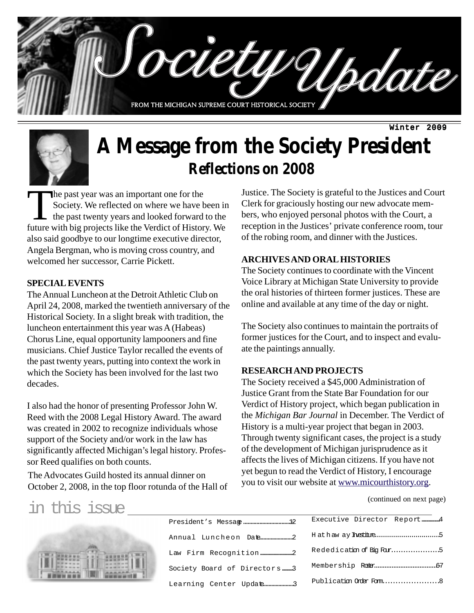

# **A Message from the Society President Reflections on 2008**

The past year was an important one for the<br>Society. We reflected on where we have<br>the past twenty years and looked forward<br>future with hig projects like the Verdict of Histor Society. We reflected on where we have been in the past twenty years and looked forward to the future with big projects like the Verdict of History. We also said goodbye to our longtime executive director, Angela Bergman, who is moving cross country, and welcomed her successor, Carrie Pickett.

#### **SPECIAL EVENTS**

The Annual Luncheon at the Detroit Athletic Club on April 24, 2008, marked the twentieth anniversary of the Historical Society. In a slight break with tradition, the luncheon entertainment this year was A (Habeas) Chorus Line, equal opportunity lampooners and fine musicians. Chief Justice Taylor recalled the events of the past twenty years, putting into context the work in which the Society has been involved for the last two decades.

I also had the honor of presenting Professor John W. Reed with the 2008 Legal History Award. The award was created in 2002 to recognize individuals whose support of the Society and/or work in the law has significantly affected Michigan's legal history. Professor Reed qualifies on both counts.

The Advocates Guild hosted its annual dinner on yet begun to read the vertict of History, I encourage<br>Catalog 2, 2009, in the ten flaggeneture of the Hall of you to visit our website at www.micourthistory.org. October 2, 2008, in the top floor rotunda of the Hall of

Justice. The Society is grateful to the Justices and Court Clerk for graciously hosting our new advocate members, who enjoyed personal photos with the Court, a reception in the Justices' private conference room, tour of the robing room, and dinner with the Justices.

#### **ARCHIVES AND ORAL HISTORIES**

The Society continues to coordinate with the Vincent Voice Library at Michigan State University to provide the oral histories of thirteen former justices. These are online and available at any time of the day or night.

The Society also continues to maintain the portraits of former justices for the Court, and to inspect and evaluate the paintings annually.

#### **RESEARCH AND PROJECTS**

The Society received a \$45,000 Administration of Justice Grant from the State Bar Foundation for our Verdict of History project, which began publication in the *Michigan Bar Journal* in December. The Verdict of History is a multi-year project that began in 2003. Through twenty significant cases, the project is a study of the development of Michigan jurisprudence as it affects the lives of Michigan citizens. If you have not yet begun to read the Verdict of History, I encourage

(continued on next page)

in this issue

| Society Board of Directors 3 |
|------------------------------|
| Learning Center Update3      |

|  | Executive Director Report4    |
|--|-------------------------------|
|  | H at haw ay <b>Institue</b> 5 |
|  | Rededication of Big Four5     |
|  |                               |
|  | Publication Order Form8       |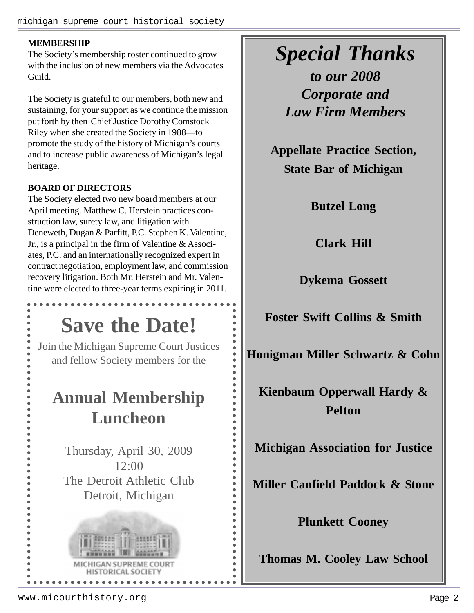#### **MEMBERSHIP**

The Society's membership roster continued to grow with the inclusion of new members via the Advocates Guild.

The Society is grateful to our members, both new and sustaining, for your support as we continue the mission put forth by then Chief Justice Dorothy Comstock Riley when she created the Society in 1988—to promote the study of the history of Michigan's courts and to increase public awareness of Michigan's legal heritage.

#### **BOARD OF DIRECTORS**

The Society elected two new board members at our April meeting. Matthew C. Herstein practices construction law, surety law, and litigation with Deneweth, Dugan & Parfitt, P.C. Stephen K. Valentine, Jr., is a principal in the firm of Valentine & Associates, P.C. and an internationally recognized expert in contract negotiation, employment law, and commission recovery litigation. Both Mr. Herstein and Mr. Valentine were elected to three-year terms expiring in 2011.

### **Save the Date!**

Join the Michigan Supreme Court Justices and fellow Society members for the

### **Annual Membership Luncheon**

 $\bullet$  $\bullet$  $\bullet$  $\bullet$  $\bullet$  $\ddot{\bullet}$  $\bullet$  $\bullet$ 

 $\ddot{\bullet}$ 

 $\bullet$  $\bullet$  $\bullet$  $\bullet$  $\bullet$  $\bullet$  $\bullet$  $\bullet$  $\bullet$  $\bullet$ 

Thursday, April 30, 2009 12:00 The Detroit Athletic Club Detroit, Michigan



### *Special Thanks*

*to our 2008 Corporate and Law Firm Members*

**Appellate Practice Section, State Bar of Michigan**

**Butzel Long**

**Clark Hill**

**Dykema Gossett**

**Foster Swift Collins & Smith**

**Honigman Miller Schwartz & Cohn**

**Kienbaum Opperwall Hardy & Pelton**

**Michigan Association for Justice**

**Miller Canfield Paddock & Stone**

**Plunkett Cooney**

**Thomas M. Cooley Law School**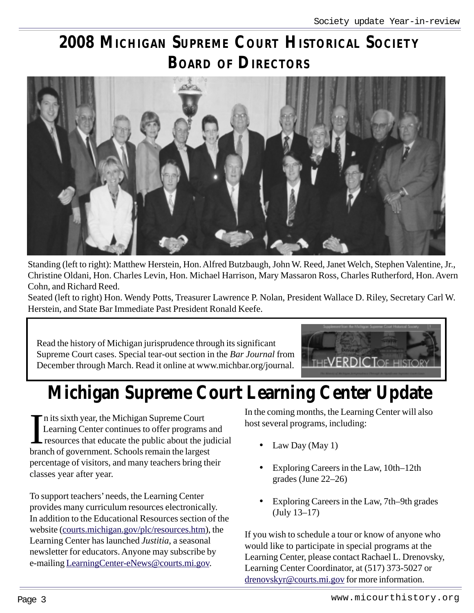### **2008 MICHIGAN SUPREME COURT HISTORICAL SOCIETY BOARD OF DIRECTORS**



Standing (left to right): Matthew Herstein, Hon. Alfred Butzbaugh, John W. Reed, Janet Welch, Stephen Valentine, Jr., Christine Oldani, Hon. Charles Levin, Hon. Michael Harrison, Mary Massaron Ross, Charles Rutherford, Hon. Avern Cohn, and Richard Reed.

Seated (left to right) Hon. Wendy Potts, Treasurer Lawrence P. Nolan, President Wallace D. Riley, Secretary Carl W. Herstein, and State Bar Immediate Past President Ronald Keefe.

Read the history of Michigan jurisprudence through its significant Supreme Court cases. Special tear-out section in the *Bar Journal* from December through March. Read it online at www.michbar.org/journal.



# **Michigan Supreme Court Learning Center Update**

In its sixth year, the Michigan Supreme Court<br>Learning Center continues to offer programs<br>resources that educate the public about the ju<br>branch of government. Schools remain the largest n its sixth year, the Michigan Supreme Court Learning Center continues to offer programs and resources that educate the public about the judicial percentage of visitors, and many teachers bring their classes year after year.

To support teachers' needs, the Learning Center provides many curriculum resources electronically. In addition to the Educational Resources section of the website (courts.michigan.gov/plc/resources.htm), the Learning Center has launched *Justitia*, a seasonal newsletter for educators. Anyone may subscribe by e-mailing LearningCenter-eNews@courts.mi.gov.

In the coming months, the Learning Center will also host several programs, including:

- Law Day (May 1)
- Exploring Careers in the Law, 10th–12th grades (June 22–26)
- Exploring Careers in the Law, 7th–9th grades (July 13–17)

If you wish to schedule a tour or know of anyone who would like to participate in special programs at the Learning Center, please contact Rachael L. Drenovsky, Learning Center Coordinator, at (517) 373-5027 or drenovskyr@courts.mi.gov for more information.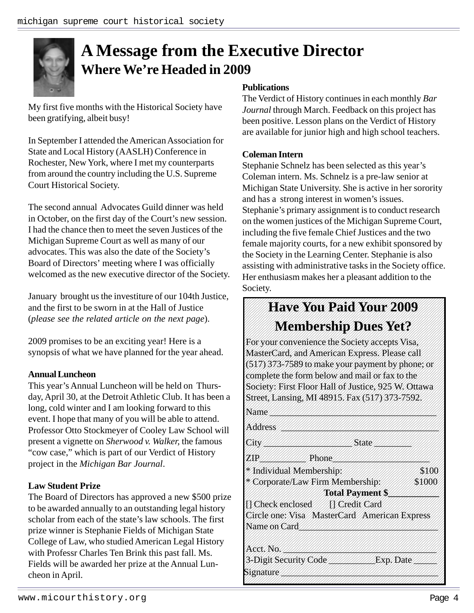### **A Message from the Executive Director Where We're Headed in 2009**

My first five months with the Historical Society have been gratifying, albeit busy!

In September I attended the American Association for State and Local History (AASLH) Conference in Rochester, New York, where I met my counterparts from around the country including the U.S. Supreme Court Historical Society.

The second annual Advocates Guild dinner was held in October, on the first day of the Court's new session. I had the chance then to meet the seven Justices of the Michigan Supreme Court as well as many of our advocates. This was also the date of the Society's Board of Directors' meeting where I was officially welcomed as the new executive director of the Society.

January brought us the investiture of our 104th Justice, and the first to be sworn in at the Hall of Justice (*please see the related article on the next page*).

2009 promises to be an exciting year! Here is a synopsis of what we have planned for the year ahead.

#### **Annual Luncheon**

This year's Annual Luncheon will be held on Thursday, April 30, at the Detroit Athletic Club. It has been a long, cold winter and I am looking forward to this event. I hope that many of you will be able to attend. Professor Otto Stockmeyer of Cooley Law School will present a vignette on *Sherwood v. Walker,* the famous "cow case," which is part of our Verdict of History project in the *Michigan Bar Journal*.

#### **Law Student Prize**

The Board of Directors has approved a new \$500 prize to be awarded annually to an outstanding legal history scholar from each of the state's law schools. The first prize winner is Stephanie Fields of Michigan State College of Law, who studied American Legal History with Professr Charles Ten Brink this past fall. Ms. Fields will be awarded her prize at the Annual Luncheon in April.

#### **Publications**

The Verdict of History continues in each monthly *Bar Journal* through March. Feedback on this project has been positive. Lesson plans on the Verdict of History are available for junior high and high school teachers.

#### **Coleman Intern**

Stephanie Schnelz has been selected as this year's Coleman intern. Ms. Schnelz is a pre-law senior at Michigan State University. She is active in her sorority and has a strong interest in women's issues. Stephanie's primary assignment is to conduct research on the women justices of the Michigan Supreme Court, including the five female Chief Justices and the two female majority courts, for a new exhibit sponsored by the Society in the Learning Center. Stephanie is also assisting with administrative tasks in the Society office. Her enthusiasm makes her a pleasant addition to the Society.

#### **Have You Paid Your 2009** 1234567890123456789012345678901212345678901234567890123456789012123456789012345 1234567890123456789012345678901212345678901234567890123456789012123456789012345 1234567890123456789012345678901212345678901234567890123456789012123456789012345 **Membership Dues Yet?** 1234567890123456789012345678901212345678901234567890123456789012123456789012345

1234567890123456789012345678901212345678901234567890123456789012123456789012345

For your convenience the Society accepts Visa, 1234567890123456789012345678901212345678901234567890123456789012123456789012345 MasterCard, and American Express. Please call 1234567890123456789012345678901212345678901234567890123456789012123456789012345  $(517)373-7589$  to make your payment by phone; or  $\sqrt{2}$ complete the form below and mail or fax to the 1234567890123456789012345678901212345678901234567890123456789012123456789012345 Society: First Floor Hall of Justice, 925 W. Ottawa 1234567890123456789012345678901212345678901234567890123456789012123456789012345 Street, Lansing, MI 48915, Fax (517) 373-7592, 1234567890123456789012345678901212345678901234567890123456789012123456789012345

| Name                               |                                                           |           |
|------------------------------------|-----------------------------------------------------------|-----------|
| Address                            |                                                           |           |
| City                               | State                                                     |           |
| ZXP                                | Phone                                                     |           |
| Individual Membership:             |                                                           | \$100     |
|                                    | Corporate/Law Firm Membership:<br><b>Total Payment \$</b> | \$1000    |
| <b>N</b> Check enclosed            | <b>MX</b> Credit Card                                     |           |
| Name on Card                       | Circle one: Visa MasterCard American Express              |           |
| Acct. No                           |                                                           |           |
| 3-Digit Security Code<br>Signature |                                                           | Exp. Date |

1234567890123456789012345678901212345678901234567890123456789012123456789012345 1234567890123456789012345678901212345678901234567890123456789012123456789012345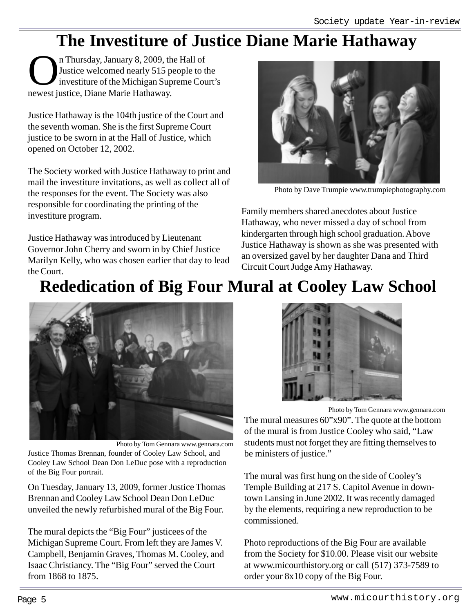### **The Investiture of Justice Diane Marie Hathaway**

Thursday, January 8, 2009, the Hall of<br>Justice welcomed nearly 515 people to the Michigan Supreme Connection Connect institute Diane Marie Hathaway Justice welcomed nearly 515 people to the investiture of the Michigan Supreme Court's newest justice, Diane Marie Hathaway.

Justice Hathaway is the 104th justice of the Court and the seventh woman. She is the first Supreme Court justice to be sworn in at the Hall of Justice, which opened on October 12, 2002.

The Society worked with Justice Hathaway to print and mail the investiture invitations, as well as collect all of the responses for the event. The Society was also responsible for coordinating the printing of the investiture program.

Justice Hathaway was introduced by Lieutenant Governor John Cherry and sworn in by Chief Justice Marilyn Kelly, who was chosen earlier that day to lead the Court.



Photo by Dave Trumpie www.trumpiephotography.com

Family members shared anecdotes about Justice Hathaway, who never missed a day of school from kindergarten through high school graduation. Above Justice Hathaway is shown as she was presented with an oversized gavel by her daughter Dana and Third Circuit Court Judge Amy Hathaway.

## **Rededication of Big Four Mural at Cooley Law School**



Photo by Tom Gennara www.gennara.com

Justice Thomas Brennan, founder of Cooley Law School, and Cooley Law School Dean Don LeDuc pose with a reproduction of the Big Four portrait.

On Tuesday, January 13, 2009, former Justice Thomas Brennan and Cooley Law School Dean Don LeDuc unveiled the newly refurbished mural of the Big Four.

The mural depicts the "Big Four" justicees of the Michigan Supreme Court. From left they are James V. Campbell, Benjamin Graves, Thomas M. Cooley, and Isaac Christiancy. The "Big Four" served the Court from 1868 to 1875.



Photo by Tom Gennara www.gennara.com The mural measures 60"x90". The quote at the bottom of the mural is from Justice Cooley who said, "Law students must not forget they are fitting themselves to be ministers of justice."

The mural was first hung on the side of Cooley's Temple Building at 217 S. Capitol Avenue in downtown Lansing in June 2002. It was recently damaged by the elements, requiring a new reproduction to be commissioned.

Photo reproductions of the Big Four are available from the Society for \$10.00. Please visit our website at www.micourthistory.org or call (517) 373-7589 to order your 8x10 copy of the Big Four.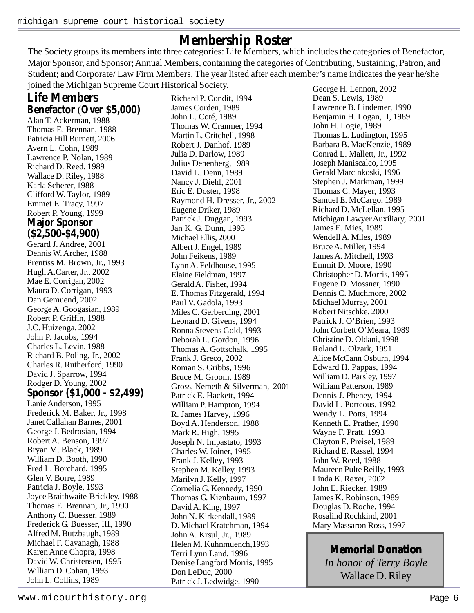**Membership Roster**<br>The Society groups its members into three categories: Life Members, which includes the categories of Benefactor, Major Sponsor, and Sponsor; Annual Members, containing the categories of Contributing, Sustaining, Patron, and Student; and Corporate/ Law Firm Members. The year listed after each member's name indicates the year he/she joined the Michigan Supreme Court Historical Society.

### **Life Members Benefactor** (**Over \$5,000)**

Alan T. Ackerman, 1988 Thomas E. Brennan, 1988 Patricia Hill Burnett, 2006 Avern L. Cohn, 1989 Lawrence P. Nolan, 1989 Richard D. Reed, 1989 Wallace D. Riley, 1988 Karla Scherer, 1988 Clifford W. Taylor, 1989 Emmet E. Tracy, 1997 Robert P. Young, 1999 **Major Sponsor (\$2,500-\$4,900)** Gerard J. Andree, 2001 Dennis W. Archer, 1988 Prentiss M. Brown, Jr., 1993 Hugh A.Carter, Jr., 2002 Mae E. Corrigan, 2002 Maura D. Corrigan, 1993 Dan Gemuend, 2002 George A. Googasian, 1989 Robert P. Griffin, 1988 J.C. Huizenga, 2002 John P. Jacobs, 1994 Charles L. Levin, 1988 Richard B. Poling, Jr., 2002 Charles R. Rutherford, 1990 David J. Sparrow, 1994 Rodger D. Young, 2002 **Sponsor (\$1,000 - \$2,499)** Lanie Anderson, 1995 Frederick M. Baker, Jr., 1998 Janet Callahan Barnes, 2001 George J. Bedrosian, 1994 Robert A. Benson, 1997 Bryan M. Black, 1989 William D. Booth, 1990 Fred L. Borchard, 1995 Glen V. Borre, 1989 Patricia J. Boyle, 1993 Joyce Braithwaite-Brickley, 1988 Thomas E. Brennan, Jr., 1990 Anthony C. Buesser, 1989 Frederick G. Buesser, III, 1990 Alfred M. Butzbaugh, 1989 Michael F. Cavanagh, 1988 Karen Anne Chopra, 1998 David W. Christensen, 1995 William D. Cohan, 1993 John L. Collins, 1989

Richard P. Condit, 1994 James Corden, 1989 John L. Coté, 1989 Thomas W. Cranmer, 1994 Martin L. Critchell, 1998 Robert J. Danhof, 1989 Julia D. Darlow, 1989 Julius Denenberg, 1989 David L. Denn, 1989 Nancy J. Diehl, 2001 Eric E. Doster, 1998 Raymond H. Dresser, Jr., 2002 Eugene Driker, 1989 Patrick J. Duggan, 1993 Jan K. G. Dunn, 1993 Michael Ellis, 2000 Albert J. Engel, 1989 John Feikens, 1989 Lynn A. Feldhouse, 1995 Elaine Fieldman, 1997 Gerald A. Fisher, 1994 E. Thomas Fitzgerald, 1994 Paul V. Gadola, 1993 Miles C. Gerberding, 2001 Leonard D. Givens, 1994 Ronna Stevens Gold, 1993 Deborah L. Gordon, 1996 Thomas A. Gottschalk, 1995 Frank J. Greco, 2002 Roman S. Gribbs, 1996 Bruce M. Groom, 1989 Gross, Nemeth & Silverman, 2001 Patrick E. Hackett, 1994 William P. Hampton, 1994 R. James Harvey, 1996 Boyd A. Henderson, 1988 Mark R. High, 1995 Joseph N. Impastato, 1993 Charles W. Joiner, 1995 Frank J. Kelley, 1993 Stephen M. Kelley, 1993 Marilyn J. Kelly, 1997 Cornelia G. Kennedy, 1990 Thomas G. Kienbaum, 1997 David A. King, 1997 John N. Kirkendall, 1989 D. Michael Kratchman, 1994 John A. Krsul, Jr., 1989 Helen M. Kuhnmuench,1993 Terri Lynn Land, 1996 Denise Langford Morris, 1995 Don LeDuc, 2000 Patrick J. Ledwidge, 1990

George H. Lennon, 2002 Dean S. Lewis, 1989 Lawrence B. Lindemer, 1990 Benjamin H. Logan, II, 1989 John H. Logie, 1989 Thomas L. Ludington, 1995 Barbara B. MacKenzie, 1989 Conrad L. Mallett, Jr., 1992 Joseph Maniscalco, 1995 Gerald Marcinkoski, 1996 Stephen J. Markman, 1999 Thomas C. Mayer, 1993 Samuel E. McCargo, 1989 Richard D. McLellan, 1995 Michigan Lawyer Auxiliary, 2001 James E. Mies, 1989 Wendell A. Miles, 1989 Bruce A. Miller, 1994 James A. Mitchell, 1993 Emmit D. Moore, 1990 Christopher D. Morris, 1995 Eugene D. Mossner, 1990 Dennis C. Muchmore, 2002 Michael Murray, 2001 Robert Nitschke, 2000 Patrick J. O'Brien, 1993 John Corbett O'Meara, 1989 Christine D. Oldani, 1998 Roland L. Olzark, 1991 Alice McCann Osburn, 1994 Edward H. Pappas, 1994 William D. Parsley, 1997 William Patterson, 1989 Dennis J. Pheney, 1994 David L. Porteous, 1992 Wendy L. Potts, 1994 Kenneth E. Prather, 1990 Wayne F. Pratt, 1993 Clayton E. Preisel, 1989 Richard E. Rassel, 1994 John W. Reed, 1988 Maureen Pulte Reilly, 1993 Linda K. Rexer, 2002 John E. Riecker, 1989 James K. Robinson, 1989 Douglas D. Roche, 1994 Rosalind Rochkind, 2001 Mary Massaron Ross, 1997

### **Memorial Donation**

*In honor of Terry Boyle* Wallace D. Riley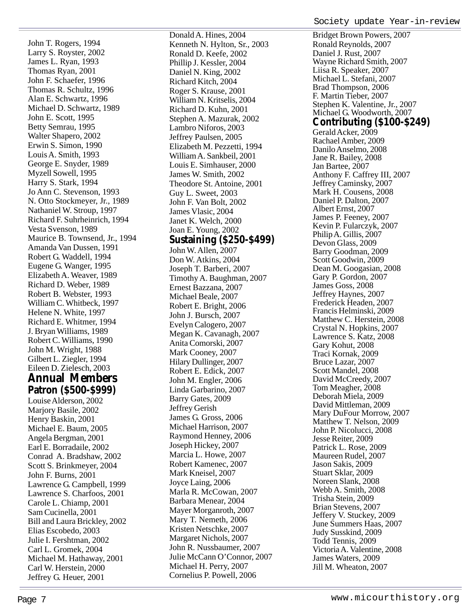John T. Rogers, 1994 Larry S. Royster, 2002 James L. Ryan, 1993 Thomas Ryan, 2001 John F. Schaefer, 1996 Thomas R. Schultz, 1996 Alan E. Schwartz, 1996 Michael D. Schwartz, 1989 John E. Scott, 1995 Betty Semrau, 1995 Walter Shapero, 2002 Erwin S. Simon, 1990 Louis A. Smith, 1993 George E. Snyder, 1989 Myzell Sowell, 1995 Harry S. Stark, 1994 Jo Ann C. Stevenson, 1993 N. Otto Stockmeyer, Jr., 1989 Nathaniel W. Stroup, 1997 Richard F. Suhrheinrich, 1994 Vesta Svenson, 1989 Maurice B. Townsend, Jr., 1994 Amanda Van Dussen, 1991 Robert G. Waddell, 1994 Eugene G. Wanger, 1995 Elizabeth A. Weaver, 1989 Richard D. Weber, 1989 Robert B. Webster, 1993 William C. Whitbeck, 1997 Helene N. White, 1997 Richard E. Whitmer, 1994 J. Bryan Williams, 1989 Robert C. Williams, 1990 John M. Wright, 1988 Gilbert L. Ziegler, 1994 Eileen D. Zielesch, 2003 **Annual Members Patron (\$500-\$999)**

Louise Alderson, 2002 Marjory Basile, 2002 Henry Baskin, 2001 Michael E. Baum, 2005 Angela Bergman, 2001 Earl E. Borradaile, 2002 Conrad A. Bradshaw, 2002 Scott S. Brinkmeyer, 2004 John F. Burns, 2001 Lawrence G. Campbell, 1999 Lawrence S. Charfoos, 2001 Carole L. Chiamp, 2001 Sam Cucinella, 2001 Bill and Laura Brickley, 2002 Elias Escobedo, 2003 Julie I. Fershtman, 2002 Carl L. Gromek, 2004 Michael M. Hathaway, 2001 Carl W. Herstein, 2000 Jeffrey G. Heuer, 2001

Kenneth N. Hylton, Sr., 2003 Ronald D. Keefe, 2002 Phillip J. Kessler, 2004 Daniel N. King, 2002 Richard Kitch, 2004 Roger S. Krause, 2001 William N. Kritselis, 2004 Richard D. Kuhn, 2001 Stephen A. Mazurak, 2002 Lambro Niforos, 2003 Jeffrey Paulsen, 2005 Elizabeth M. Pezzetti, 1994 William A. Sankbeil, 2001 Louis E. Simhauser, 2000 James W. Smith, 2002 Theodore St. Antoine, 2001 Guy L. Sweet, 2003 John F. Van Bolt, 2002 James Vlasic, 2004 Janet K. Welch, 2000 Joan E. Young, 2002 **Sustaining (\$250-\$499)** John W. Allen, 2007 Don W. Atkins, 2004 Joseph T. Barberi, 2007 Timothy A. Baughman, 2007 Ernest Bazzana, 2007 Michael Beale, 2007 Robert E. Bright, 2006 John J. Bursch, 2007 Evelyn Calogero, 2007 Megan K. Cavanagh, 2007 Anita Comorski, 2007 Mark Cooney, 2007 Hilary Dullinger, 2007 Robert E. Edick, 2007 John M. Engler, 2006 Linda Garbarino, 2007 Barry Gates, 2009 Jeffrey Gerish James G. Gross, 2006 Michael Harrison, 2007 Raymond Henney, 2006 Joseph Hickey, 2007 Marcia L. Howe, 2007 Robert Kamenec, 2007 Mark Kneisel, 2007 Joyce Laing, 2006 Marla R. McCowan, 2007 Barbara Menear, 2004 Mayer Morganroth, 2007 Mary T. Nemeth, 2006 Kristen Netschke, 2007 Margaret Nichols, 2007 John R. Nussbaumer, 2007 Julie McCann O'Connor, 2007 Michael H. Perry, 2007 Cornelius P. Powell, 2006

Donald A. Hines, 2004

Bridget Brown Powers, 2007 Ronald Reynolds, 2007 Daniel J. Rust, 2007 Wayne Richard Smith, 2007 Liisa R. Speaker, 2007 Michael L. Stefani, 2007 Brad Thompson, 2006 F. Martin Tieber, 2007 Stephen K. Valentine, Jr., 2007 Michael G. Woodworth, 2007 **Contributing (\$100-\$249)** Gerald Acker, 2009 Rachael Amber, 2009 Danilo Anselmo, 2008 Jane R. Bailey, 2008 Jan Bartee, 2007 Anthony F. Caffrey III, 2007 Jeffrey Caminsky, 2007 Mark H. Cousens, 2008 Daniel P. Dalton, 2007 Albert Ernst, 2007 James P. Feeney, 2007 Kevin P. Fularczyk, 2007 Philip A. Gillis, 2007 Devon Glass, 2009 Barry Goodman, 2009 Scott Goodwin, 2009 Dean M. Googasian, 2008 Gary P. Gordon, 2007 James Goss, 2008 Jeffrey Haynes, 2007 Frederick Headen, 2007 Francis Helminski, 2009 Matthew C. Herstein, 2008 Crystal N. Hopkins, 2007 Lawrence S. Katz, 2008 Gary Kohut, 2008 Traci Kornak, 2009 Bruce Lazar, 2007 Scott Mandel, 2008 David McCreedy, 2007 Tom Meagher, 2008 Deborah Miela, 2009 David Mittleman, 2009 Mary DuFour Morrow, 2007 Matthew T. Nelson, 2009 John P. Nicolucci, 2008 Jesse Reiter, 2009 Patrick L. Rose, 2009 Maureen Rudel, 2007 Jason Sakis, 2009 Stuart Sklar, 2009 Noreen Slank, 2008 Webb A. Smith, 2008 Trisha Stein, 2009 Brian Stevens, 2007 Jeffery V. Stuckey, 2009 June Summers Haas, 2007 Judy Susskind, 2009 Todd Tennis, 2009 Victoria A. Valentine, 2008 James Waters, 2009 Jill M. Wheaton, 2007